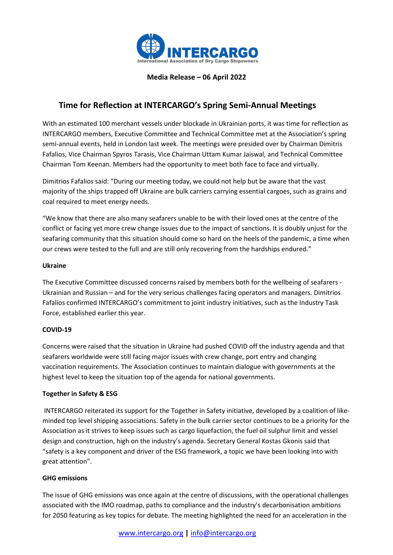

Media Release – 06 April 2022

# Time for Reflection at INTERCARGO's Spring Semi-Annual Meetings

With an estimated 100 merchant vessels under blockade in Ukrainian ports, it was time for reflection as INTERCARGO members, Executive Committee and Technical Committee met at the Association's spring semi-annual events, held in London last week. The meetings were presided over by Chairman Dimitris Fafalios, Vice Chairman Spyros Tarasis, Vice Chairman Uttam Kumar Jaiswal, and Technical Committee Chairman Tom Keenan. Members had the opportunity to meet both face to face and virtually.

Dimitrios Fafalios said: "During our meeting today, we could not help but be aware that the vast majority of the ships trapped off Ukraine are bulk carriers carrying essential cargoes, such as grains and coal required to meet energy needs.

"We know that there are also many seafarers unable to be with their loved ones at the centre of the conflict or facing yet more crew change issues due to the impact of sanctions. It is doubly unjust for the seafaring community that this situation should come so hard on the heels of the pandemic, a time when our crews were tested to the full and are still only recovering from the hardships endured."

### Ukraine

The Executive Committee discussed concerns raised by members both for the wellbeing of seafarers - Ukrainian and Russian – and for the very serious challenges facing operators and managers. Dimitrios Fafalios confirmed INTERCARGO's commitment to joint industry initiatives, such as the Industry Task Force, established earlier this year.

# COVID-19

Concerns were raised that the situation in Ukraine had pushed COVID off the industry agenda and that seafarers worldwide were still facing major issues with crew change, port entry and changing vaccination requirements. The Association continues to maintain dialogue with governments at the highest level to keep the situation top of the agenda for national governments.

# Together in Safety & ESG

 INTERCARGO reiterated its support for the Together in Safety initiative, developed by a coalition of likeminded top level shipping associations. Safety in the bulk carrier sector continues to be a priority for the Association as it strives to keep issues such as cargo liquefaction, the fuel oil sulphur limit and vessel design and construction, high on the industry's agenda. Secretary General Kostas Gkonis said that "safety is a key component and driver of the ESG framework, a topic we have been looking into with great attention".

# GHG emissions

The issue of GHG emissions was once again at the centre of discussions, with the operational challenges associated with the IMO roadmap, paths to compliance and the industry's decarbonisation ambitions for 2050 featuring as key topics for debate. The meeting highlighted the need for an acceleration in the